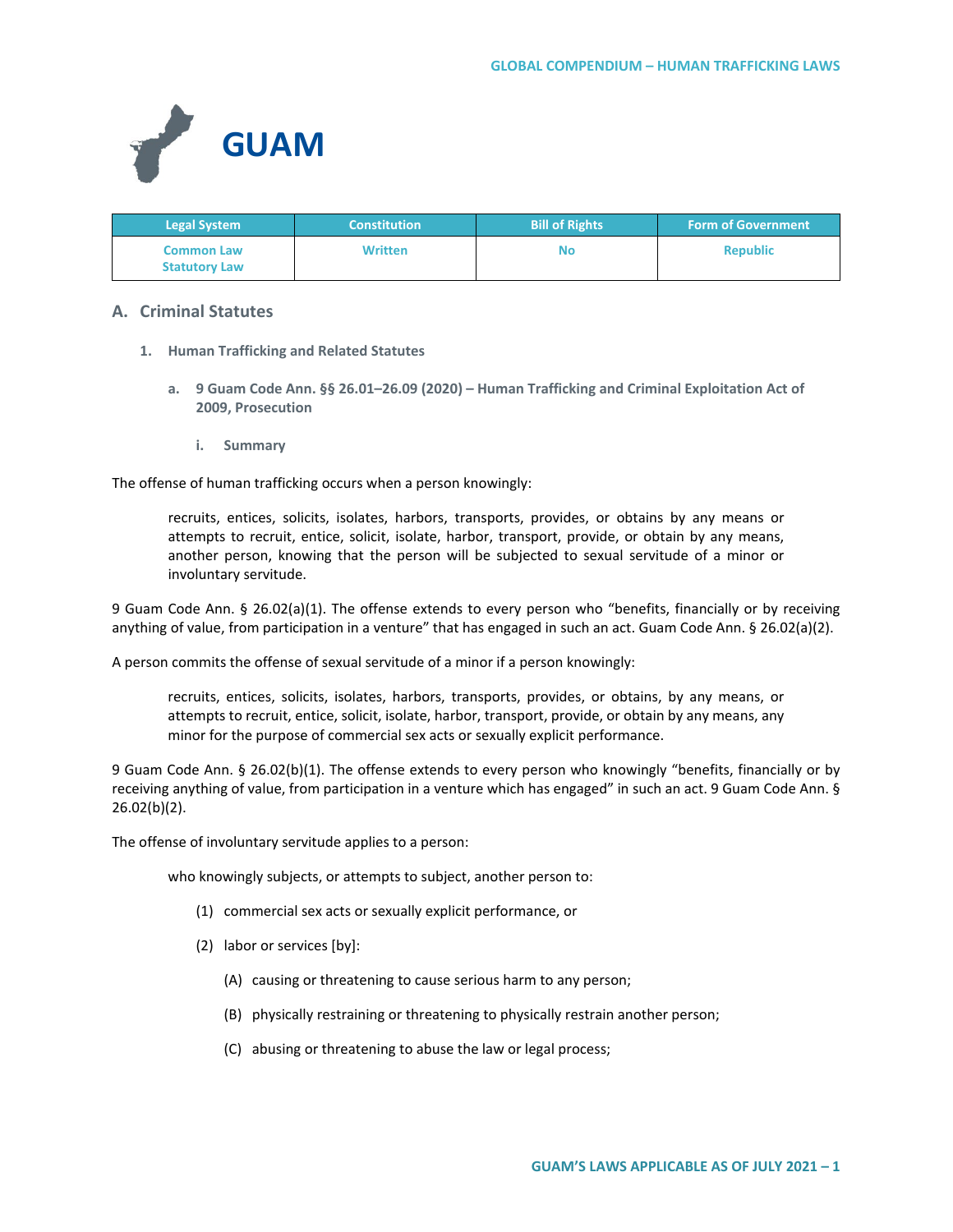

| <b>Legal System</b>                       | <b>Constitution</b> | <b>Bill of Rights</b> | <b>Form of Government</b> |
|-------------------------------------------|---------------------|-----------------------|---------------------------|
| <b>Common Law</b><br><b>Statutory Law</b> | <b>Written</b>      | No                    | <b>Republic</b>           |

# **A. Criminal Statutes**

- **1. Human Trafficking and Related Statutes**
	- **a. 9 Guam Code Ann. §§ 26.01–26.09 (2020) – Human Trafficking and Criminal Exploitation Act of 2009, Prosecution**
		- **i. Summary**

The offense of human trafficking occurs when a person knowingly:

recruits, entices, solicits, isolates, harbors, transports, provides, or obtains by any means or attempts to recruit, entice, solicit, isolate, harbor, transport, provide, or obtain by any means, another person, knowing that the person will be subjected to sexual servitude of a minor or involuntary servitude.

9 Guam Code Ann. § 26.02(a)(1). The offense extends to every person who "benefits, financially or by receiving anything of value, from participation in a venture" that has engaged in such an act. Guam Code Ann. § 26.02(a)(2).

A person commits the offense of sexual servitude of a minor if a person knowingly:

recruits, entices, solicits, isolates, harbors, transports, provides, or obtains, by any means, or attempts to recruit, entice, solicit, isolate, harbor, transport, provide, or obtain by any means, any minor for the purpose of commercial sex acts or sexually explicit performance.

9 Guam Code Ann. § 26.02(b)(1). The offense extends to every person who knowingly "benefits, financially or by receiving anything of value, from participation in a venture which has engaged" in such an act. 9 Guam Code Ann. § 26.02(b)(2).

The offense of involuntary servitude applies to a person:

who knowingly subjects, or attempts to subject, another person to:

- (1) commercial sex acts or sexually explicit performance, or
- (2) labor or services [by]:
	- (A) causing or threatening to cause serious harm to any person;
	- (B) physically restraining or threatening to physically restrain another person;
	- (C) abusing or threatening to abuse the law or legal process;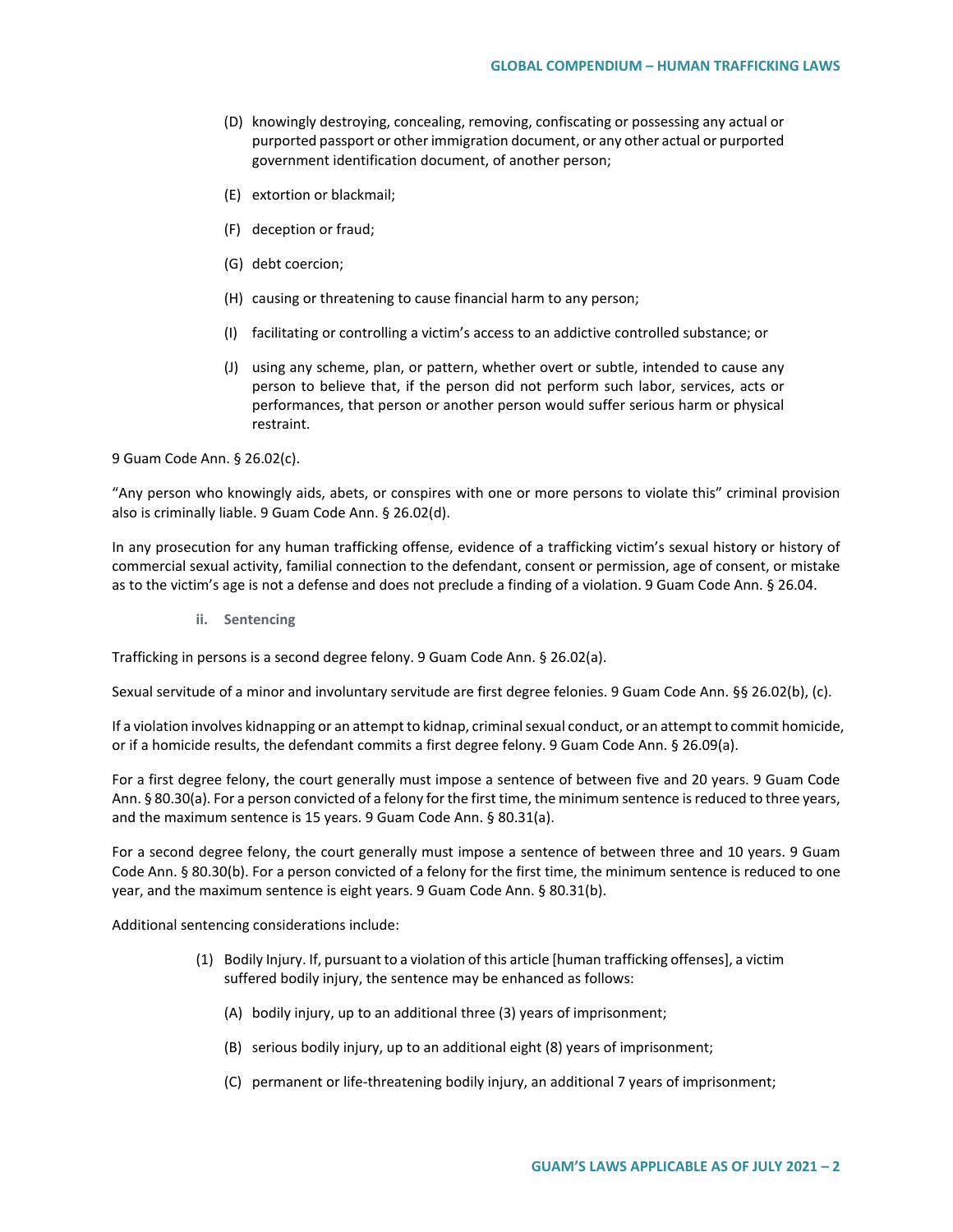- (D) knowingly destroying, concealing, removing, confiscating or possessing any actual or purported passport or other immigration document, or any other actual or purported government identification document, of another person;
- (E) extortion or blackmail;
- (F) deception or fraud;
- (G) debt coercion;
- (H) causing or threatening to cause financial harm to any person;
- (I) facilitating or controlling a victim's access to an addictive controlled substance; or
- (J) using any scheme, plan, or pattern, whether overt or subtle, intended to cause any person to believe that, if the person did not perform such labor, services, acts or performances, that person or another person would suffer serious harm or physical restraint.

9 Guam Code Ann. § 26.02(c).

"Any person who knowingly aids, abets, or conspires with one or more persons to violate this" criminal provision also is criminally liable. 9 Guam Code Ann. § 26.02(d).

In any prosecution for any human trafficking offense, evidence of a trafficking victim's sexual history or history of commercial sexual activity, familial connection to the defendant, consent or permission, age of consent, or mistake as to the victim's age is not a defense and does not preclude a finding of a violation. 9 Guam Code Ann. § 26.04.

**ii. Sentencing**

Trafficking in persons is a second degree felony. 9 Guam Code Ann. § 26.02(a).

Sexual servitude of a minor and involuntary servitude are first degree felonies. 9 Guam Code Ann. §§ 26.02(b), (c).

If a violation involves kidnapping or an attempt to kidnap, criminal sexual conduct, or an attempt to commit homicide, or if a homicide results, the defendant commits a first degree felony. 9 Guam Code Ann. § 26.09(a).

For a first degree felony, the court generally must impose a sentence of between five and 20 years. 9 Guam Code Ann. § 80.30(a). For a person convicted of a felony for the first time, the minimum sentence is reduced to three years, and the maximum sentence is 15 years. 9 Guam Code Ann. § 80.31(a).

For a second degree felony, the court generally must impose a sentence of between three and 10 years. 9 Guam Code Ann. § 80.30(b). For a person convicted of a felony for the first time, the minimum sentence is reduced to one year, and the maximum sentence is eight years. 9 Guam Code Ann. § 80.31(b).

Additional sentencing considerations include:

- (1) Bodily Injury. If, pursuant to a violation of this article [human trafficking offenses], a victim suffered bodily injury, the sentence may be enhanced as follows:
	- (A) bodily injury, up to an additional three (3) years of imprisonment;
	- (B) serious bodily injury, up to an additional eight (8) years of imprisonment;
	- (C) permanent or life-threatening bodily injury, an additional 7 years of imprisonment;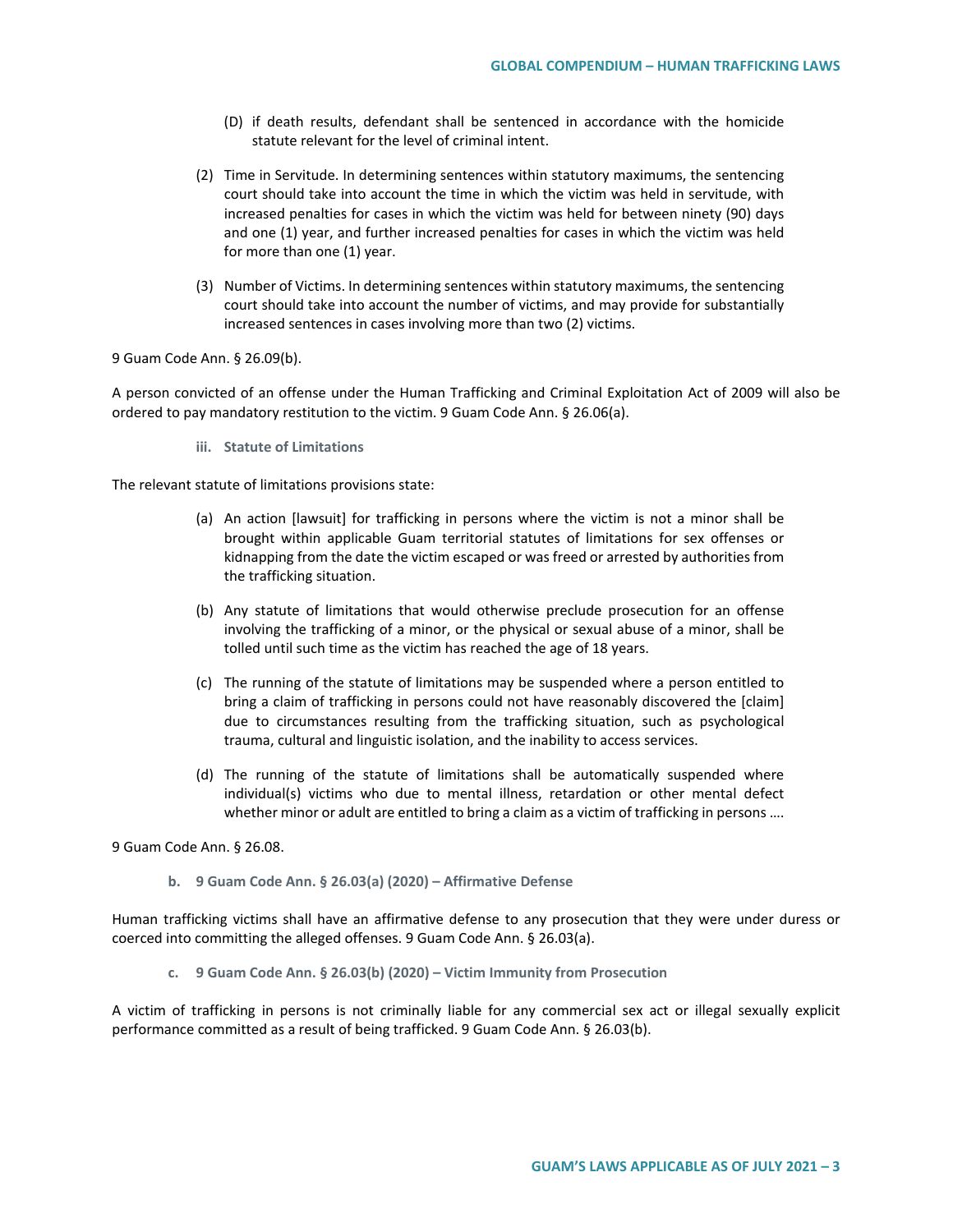- (D) if death results, defendant shall be sentenced in accordance with the homicide statute relevant for the level of criminal intent.
- (2) Time in Servitude. In determining sentences within statutory maximums, the sentencing court should take into account the time in which the victim was held in servitude, with increased penalties for cases in which the victim was held for between ninety (90) days and one (1) year, and further increased penalties for cases in which the victim was held for more than one (1) year.
- (3) Number of Victims. In determining sentences within statutory maximums, the sentencing court should take into account the number of victims, and may provide for substantially increased sentences in cases involving more than two (2) victims.

9 Guam Code Ann. § 26.09(b).

A person convicted of an offense under the Human Trafficking and Criminal Exploitation Act of 2009 will also be ordered to pay mandatory restitution to the victim. 9 Guam Code Ann. § 26.06(a).

**iii. Statute of Limitations**

The relevant statute of limitations provisions state:

- (a) An action [lawsuit] for trafficking in persons where the victim is not a minor shall be brought within applicable Guam territorial statutes of limitations for sex offenses or kidnapping from the date the victim escaped or was freed or arrested by authorities from the trafficking situation.
- (b) Any statute of limitations that would otherwise preclude prosecution for an offense involving the trafficking of a minor, or the physical or sexual abuse of a minor, shall be tolled until such time as the victim has reached the age of 18 years.
- (c) The running of the statute of limitations may be suspended where a person entitled to bring a claim of trafficking in persons could not have reasonably discovered the [claim] due to circumstances resulting from the trafficking situation, such as psychological trauma, cultural and linguistic isolation, and the inability to access services.
- (d) The running of the statute of limitations shall be automatically suspended where individual(s) victims who due to mental illness, retardation or other mental defect whether minor or adult are entitled to bring a claim as a victim of trafficking in persons ....

9 Guam Code Ann. § 26.08.

**b. 9 Guam Code Ann. § 26.03(a) (2020) – Affirmative Defense**

Human trafficking victims shall have an affirmative defense to any prosecution that they were under duress or coerced into committing the alleged offenses. 9 Guam Code Ann. § 26.03(a).

**c. 9 Guam Code Ann. § 26.03(b) (2020) – Victim Immunity from Prosecution**

A victim of trafficking in persons is not criminally liable for any commercial sex act or illegal sexually explicit performance committed as a result of being trafficked. 9 Guam Code Ann. § 26.03(b).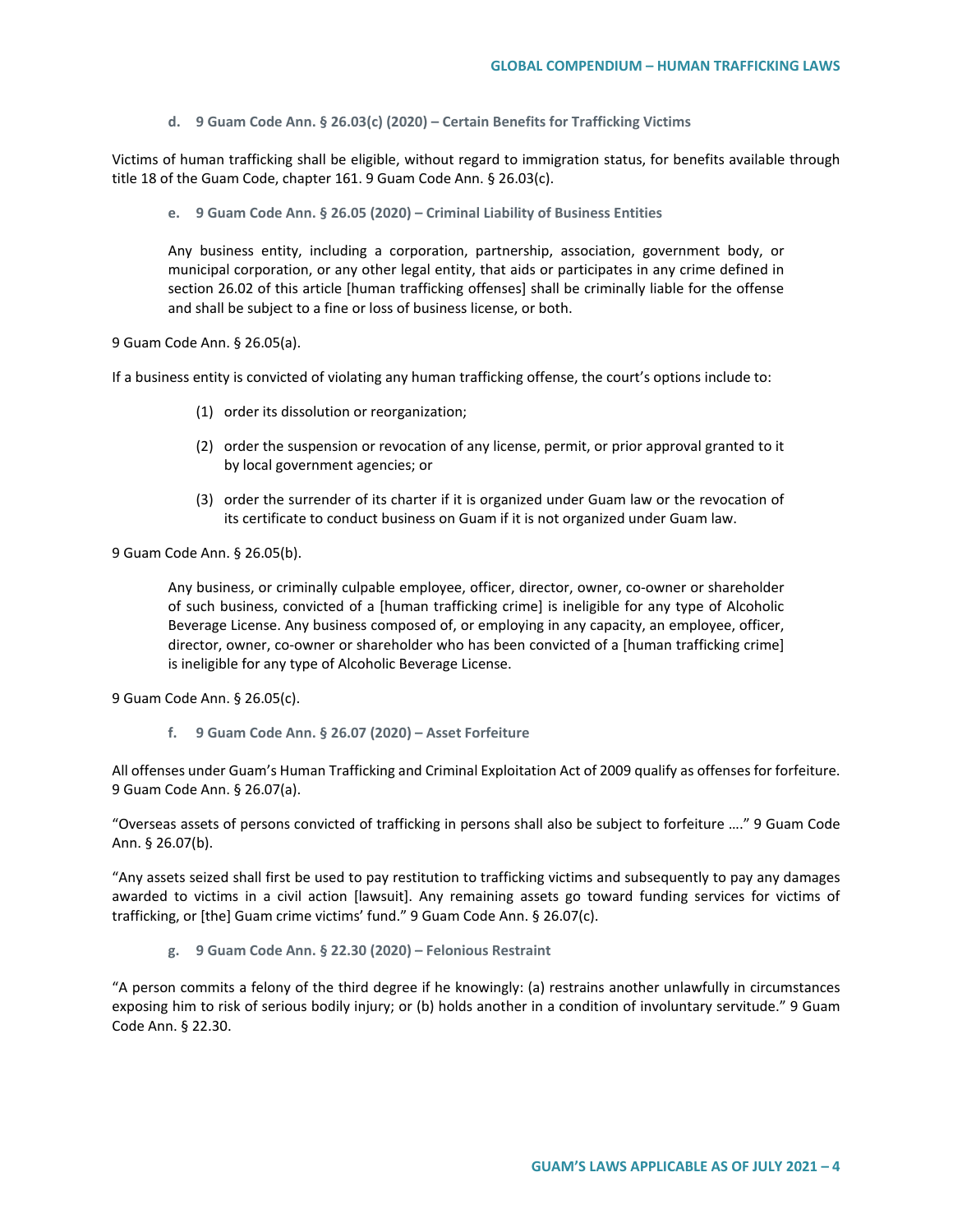**d. 9 Guam Code Ann. § 26.03(c) (2020) – Certain Benefits for Trafficking Victims**

Victims of human trafficking shall be eligible, without regard to immigration status, for benefits available through title 18 of the Guam Code, chapter 161. 9 Guam Code Ann. § 26.03(c).

**e. 9 Guam Code Ann. § 26.05 (2020) – Criminal Liability of Business Entities**

Any business entity, including a corporation, partnership, association, government body, or municipal corporation, or any other legal entity, that aids or participates in any crime defined in section 26.02 of this article [human trafficking offenses] shall be criminally liable for the offense and shall be subject to a fine or loss of business license, or both.

9 Guam Code Ann. § 26.05(a).

If a business entity is convicted of violating any human trafficking offense, the court's options include to:

- (1) order its dissolution or reorganization;
- (2) order the suspension or revocation of any license, permit, or prior approval granted to it by local government agencies; or
- (3) order the surrender of its charter if it is organized under Guam law or the revocation of its certificate to conduct business on Guam if it is not organized under Guam law.

9 Guam Code Ann. § 26.05(b).

Any business, or criminally culpable employee, officer, director, owner, co-owner or shareholder of such business, convicted of a [human trafficking crime] is ineligible for any type of Alcoholic Beverage License. Any business composed of, or employing in any capacity, an employee, officer, director, owner, co-owner or shareholder who has been convicted of a [human trafficking crime] is ineligible for any type of Alcoholic Beverage License.

9 Guam Code Ann. § 26.05(c).

**f. 9 Guam Code Ann. § 26.07 (2020) – Asset Forfeiture**

All offenses under Guam's Human Trafficking and Criminal Exploitation Act of 2009 qualify as offenses for forfeiture. 9 Guam Code Ann. § 26.07(a).

"Overseas assets of persons convicted of trafficking in persons shall also be subject to forfeiture …." 9 Guam Code Ann. § 26.07(b).

"Any assets seized shall first be used to pay restitution to trafficking victims and subsequently to pay any damages awarded to victims in a civil action [lawsuit]. Any remaining assets go toward funding services for victims of trafficking, or [the] Guam crime victims' fund." 9 Guam Code Ann. § 26.07(c).

**g. 9 Guam Code Ann. § 22.30 (2020) – Felonious Restraint**

"A person commits a felony of the third degree if he knowingly: (a) restrains another unlawfully in circumstances exposing him to risk of serious bodily injury; or (b) holds another in a condition of involuntary servitude." 9 Guam Code Ann. § 22.30.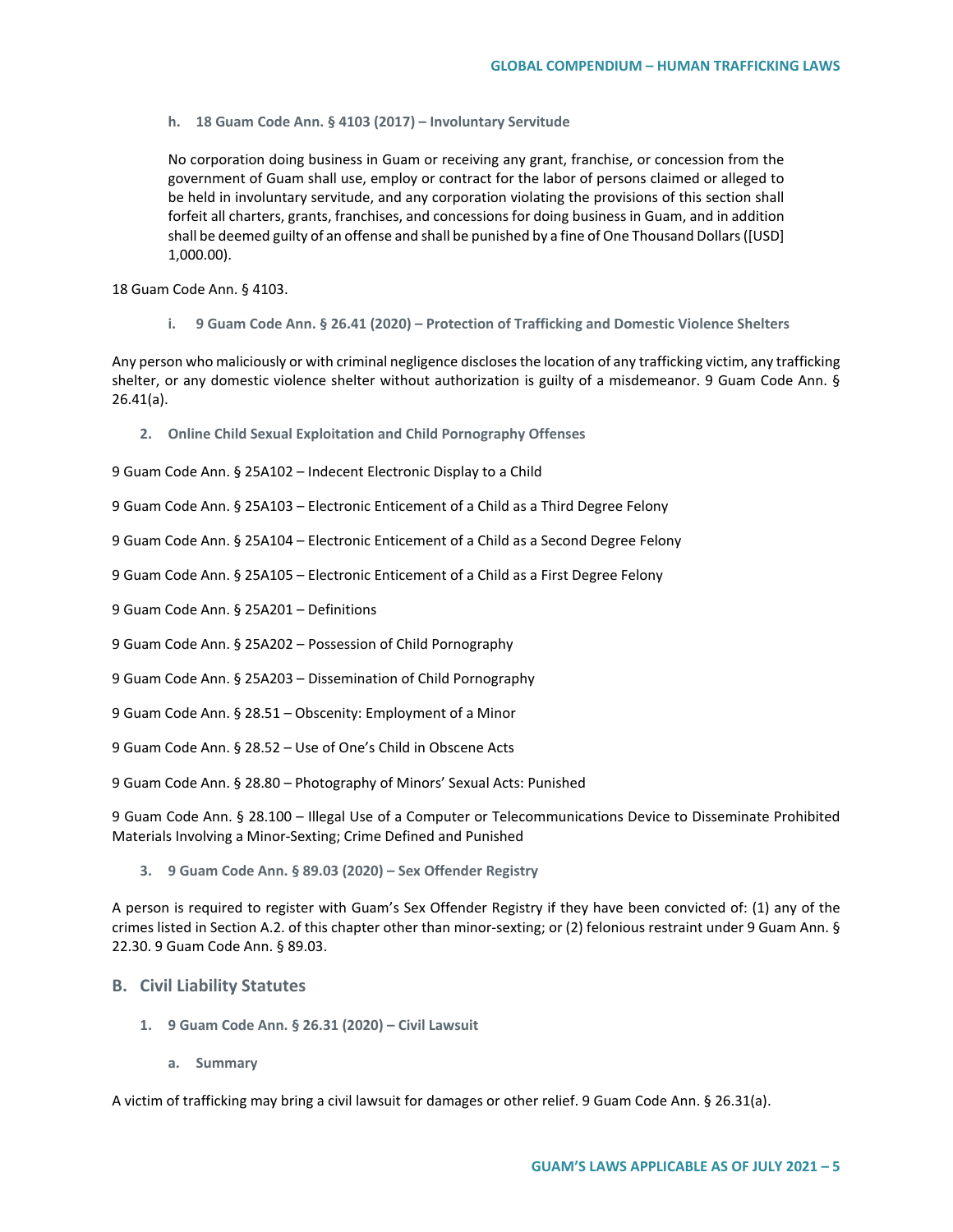**h. 18 Guam Code Ann. § 4103 (2017) – Involuntary Servitude**

No corporation doing business in Guam or receiving any grant, franchise, or concession from the government of Guam shall use, employ or contract for the labor of persons claimed or alleged to be held in involuntary servitude, and any corporation violating the provisions of this section shall forfeit all charters, grants, franchises, and concessions for doing business in Guam, and in addition shall be deemed guilty of an offense and shall be punished by a fine of One Thousand Dollars ([USD] 1,000.00).

18 Guam Code Ann. § 4103.

**i. 9 Guam Code Ann. § 26.41 (2020) – Protection of Trafficking and Domestic Violence Shelters**

Any person who maliciously or with criminal negligence discloses the location of any trafficking victim, any trafficking shelter, or any domestic violence shelter without authorization is guilty of a misdemeanor. 9 Guam Code Ann. § 26.41(a).

**2. Online Child Sexual Exploitation and Child Pornography Offenses**

9 Guam Code Ann. § 25A102 – Indecent Electronic Display to a Child

9 Guam Code Ann. § 25A103 – Electronic Enticement of a Child as a Third Degree Felony

9 Guam Code Ann. § 25A104 – Electronic Enticement of a Child as a Second Degree Felony

- 9 Guam Code Ann. § 25A105 Electronic Enticement of a Child as a First Degree Felony
- 9 Guam Code Ann. § 25A201 Definitions
- 9 Guam Code Ann. § 25A202 Possession of Child Pornography
- 9 Guam Code Ann. § 25A203 Dissemination of Child Pornography
- 9 Guam Code Ann. § 28.51 Obscenity: Employment of a Minor
- 9 Guam Code Ann. § 28.52 Use of One's Child in Obscene Acts
- 9 Guam Code Ann. § 28.80 Photography of Minors' Sexual Acts: Punished

9 Guam Code Ann. § 28.100 – Illegal Use of a Computer or Telecommunications Device to Disseminate Prohibited Materials Involving a Minor-Sexting; Crime Defined and Punished

**3. 9 Guam Code Ann. § 89.03 (2020) – Sex Offender Registry**

A person is required to register with Guam's Sex Offender Registry if they have been convicted of: (1) any of the crimes listed in Section A.2. of this chapter other than minor-sexting; or (2) felonious restraint under 9 Guam Ann. § 22.30. 9 Guam Code Ann. § 89.03.

### **B. Civil Liability Statutes**

- **1. 9 Guam Code Ann. § 26.31 (2020) – Civil Lawsuit**
	- **a. Summary**

A victim of trafficking may bring a civil lawsuit for damages or other relief. 9 Guam Code Ann. § 26.31(a).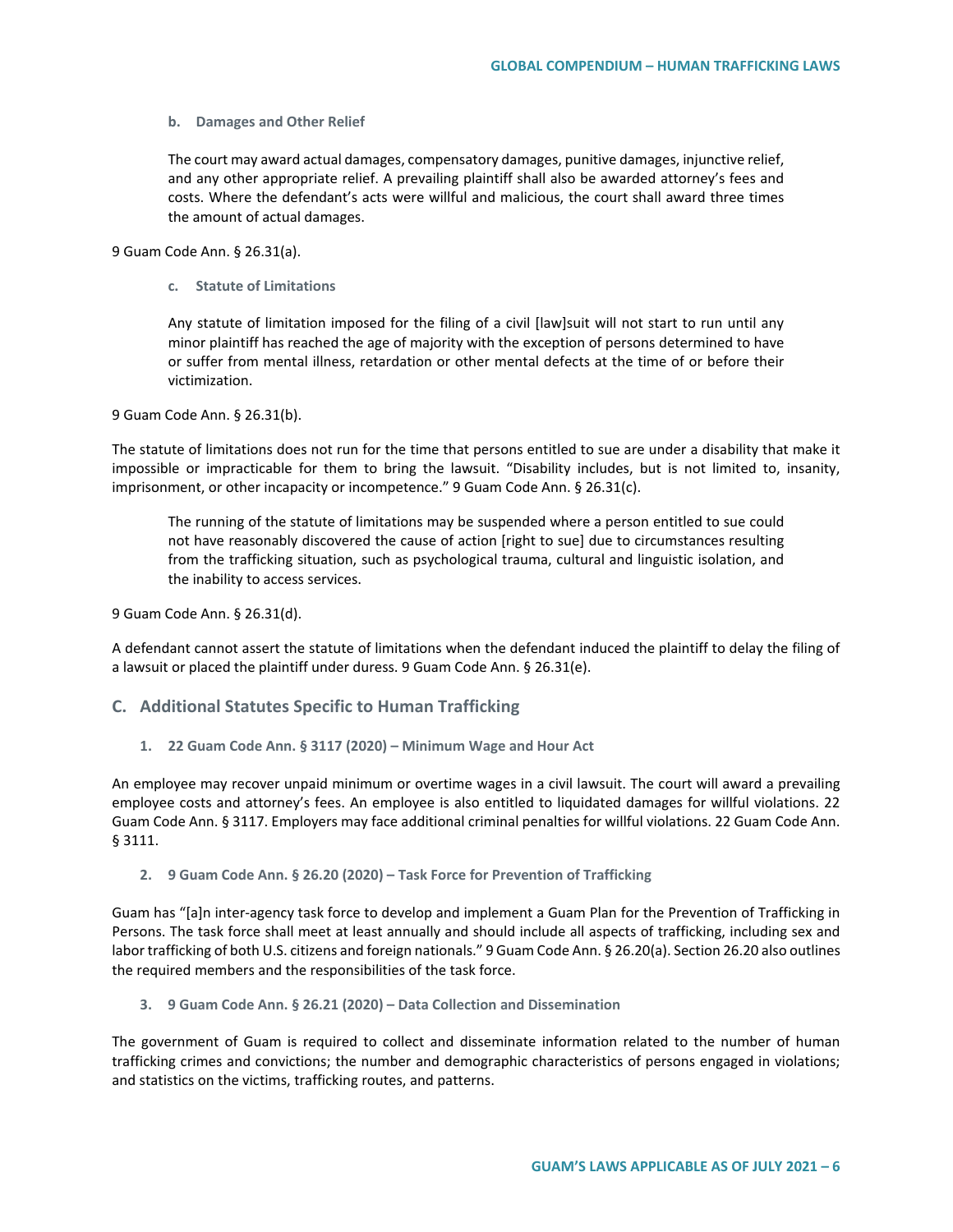#### **b. Damages and Other Relief**

The court may award actual damages, compensatory damages, punitive damages, injunctive relief, and any other appropriate relief. A prevailing plaintiff shall also be awarded attorney's fees and costs. Where the defendant's acts were willful and malicious, the court shall award three times the amount of actual damages.

9 Guam Code Ann. § 26.31(a).

**c. Statute of Limitations**

Any statute of limitation imposed for the filing of a civil [law]suit will not start to run until any minor plaintiff has reached the age of majority with the exception of persons determined to have or suffer from mental illness, retardation or other mental defects at the time of or before their victimization.

9 Guam Code Ann. § 26.31(b).

The statute of limitations does not run for the time that persons entitled to sue are under a disability that make it impossible or impracticable for them to bring the lawsuit. "Disability includes, but is not limited to, insanity, imprisonment, or other incapacity or incompetence." 9 Guam Code Ann. § 26.31(c).

The running of the statute of limitations may be suspended where a person entitled to sue could not have reasonably discovered the cause of action [right to sue] due to circumstances resulting from the trafficking situation, such as psychological trauma, cultural and linguistic isolation, and the inability to access services.

9 Guam Code Ann. § 26.31(d).

A defendant cannot assert the statute of limitations when the defendant induced the plaintiff to delay the filing of a lawsuit or placed the plaintiff under duress. 9 Guam Code Ann. § 26.31(e).

## **C. Additional Statutes Specific to Human Trafficking**

**1. 22 Guam Code Ann. § 3117 (2020) – Minimum Wage and Hour Act**

An employee may recover unpaid minimum or overtime wages in a civil lawsuit. The court will award a prevailing employee costs and attorney's fees. An employee is also entitled to liquidated damages for willful violations. 22 Guam Code Ann. § 3117. Employers may face additional criminal penalties for willful violations. 22 Guam Code Ann. § 3111.

#### **2. 9 Guam Code Ann. § 26.20 (2020) – Task Force for Prevention of Trafficking**

Guam has "[a]n inter-agency task force to develop and implement a Guam Plan for the Prevention of Trafficking in Persons. The task force shall meet at least annually and should include all aspects of trafficking, including sex and labor trafficking of both U.S. citizens and foreign nationals." 9 Guam Code Ann. § 26.20(a). Section 26.20 also outlines the required members and the responsibilities of the task force.

**3. 9 Guam Code Ann. § 26.21 (2020) – Data Collection and Dissemination**

The government of Guam is required to collect and disseminate information related to the number of human trafficking crimes and convictions; the number and demographic characteristics of persons engaged in violations; and statistics on the victims, trafficking routes, and patterns.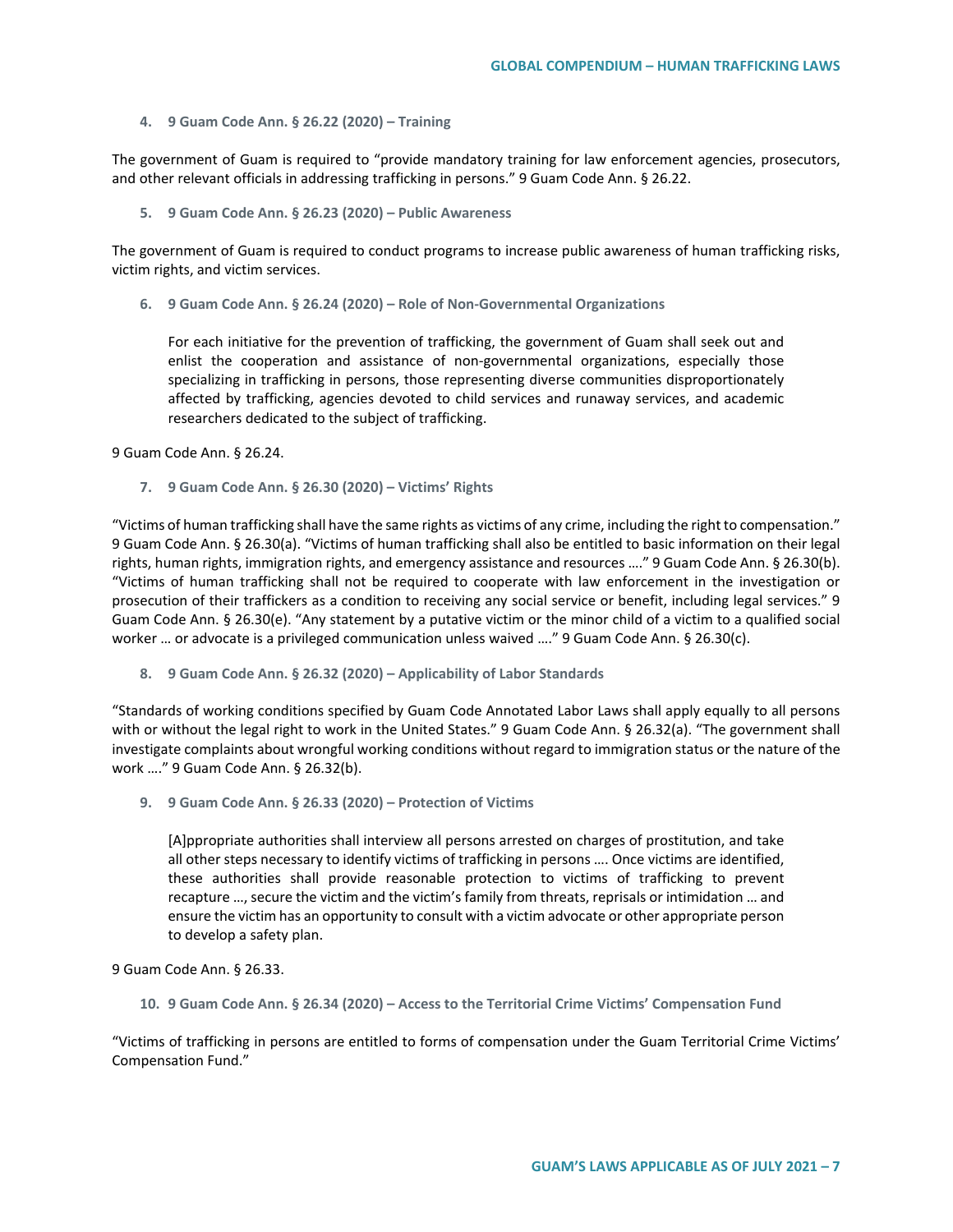#### **4. 9 Guam Code Ann. § 26.22 (2020) – Training**

The government of Guam is required to "provide mandatory training for law enforcement agencies, prosecutors, and other relevant officials in addressing trafficking in persons." 9 Guam Code Ann. § 26.22.

**5. 9 Guam Code Ann. § 26.23 (2020) – Public Awareness**

The government of Guam is required to conduct programs to increase public awareness of human trafficking risks, victim rights, and victim services.

**6. 9 Guam Code Ann. § 26.24 (2020) – Role of Non-Governmental Organizations**

For each initiative for the prevention of trafficking, the government of Guam shall seek out and enlist the cooperation and assistance of non-governmental organizations, especially those specializing in trafficking in persons, those representing diverse communities disproportionately affected by trafficking, agencies devoted to child services and runaway services, and academic researchers dedicated to the subject of trafficking.

9 Guam Code Ann. § 26.24.

**7. 9 Guam Code Ann. § 26.30 (2020) – Victims' Rights**

"Victims of human trafficking shall have the same rights as victims of any crime, including the right to compensation." 9 Guam Code Ann. § 26.30(a). "Victims of human trafficking shall also be entitled to basic information on their legal rights, human rights, immigration rights, and emergency assistance and resources …." 9 Guam Code Ann. § 26.30(b). "Victims of human trafficking shall not be required to cooperate with law enforcement in the investigation or prosecution of their traffickers as a condition to receiving any social service or benefit, including legal services." 9 Guam Code Ann. § 26.30(e). "Any statement by a putative victim or the minor child of a victim to a qualified social worker ... or advocate is a privileged communication unless waived ...." 9 Guam Code Ann. § 26.30(c).

**8. 9 Guam Code Ann. § 26.32 (2020) – Applicability of Labor Standards**

"Standards of working conditions specified by Guam Code Annotated Labor Laws shall apply equally to all persons with or without the legal right to work in the United States." 9 Guam Code Ann. § 26.32(a). "The government shall investigate complaints about wrongful working conditions without regard to immigration status or the nature of the work …." 9 Guam Code Ann. § 26.32(b).

**9. 9 Guam Code Ann. § 26.33 (2020) – Protection of Victims**

[A]ppropriate authorities shall interview all persons arrested on charges of prostitution, and take all other steps necessary to identify victims of trafficking in persons …. Once victims are identified, these authorities shall provide reasonable protection to victims of trafficking to prevent recapture …, secure the victim and the victim's family from threats, reprisals or intimidation … and ensure the victim has an opportunity to consult with a victim advocate or other appropriate person to develop a safety plan.

9 Guam Code Ann. § 26.33.

**10. 9 Guam Code Ann. § 26.34 (2020) – Access to the Territorial Crime Victims' Compensation Fund**

"Victims of trafficking in persons are entitled to forms of compensation under the Guam Territorial Crime Victims' Compensation Fund."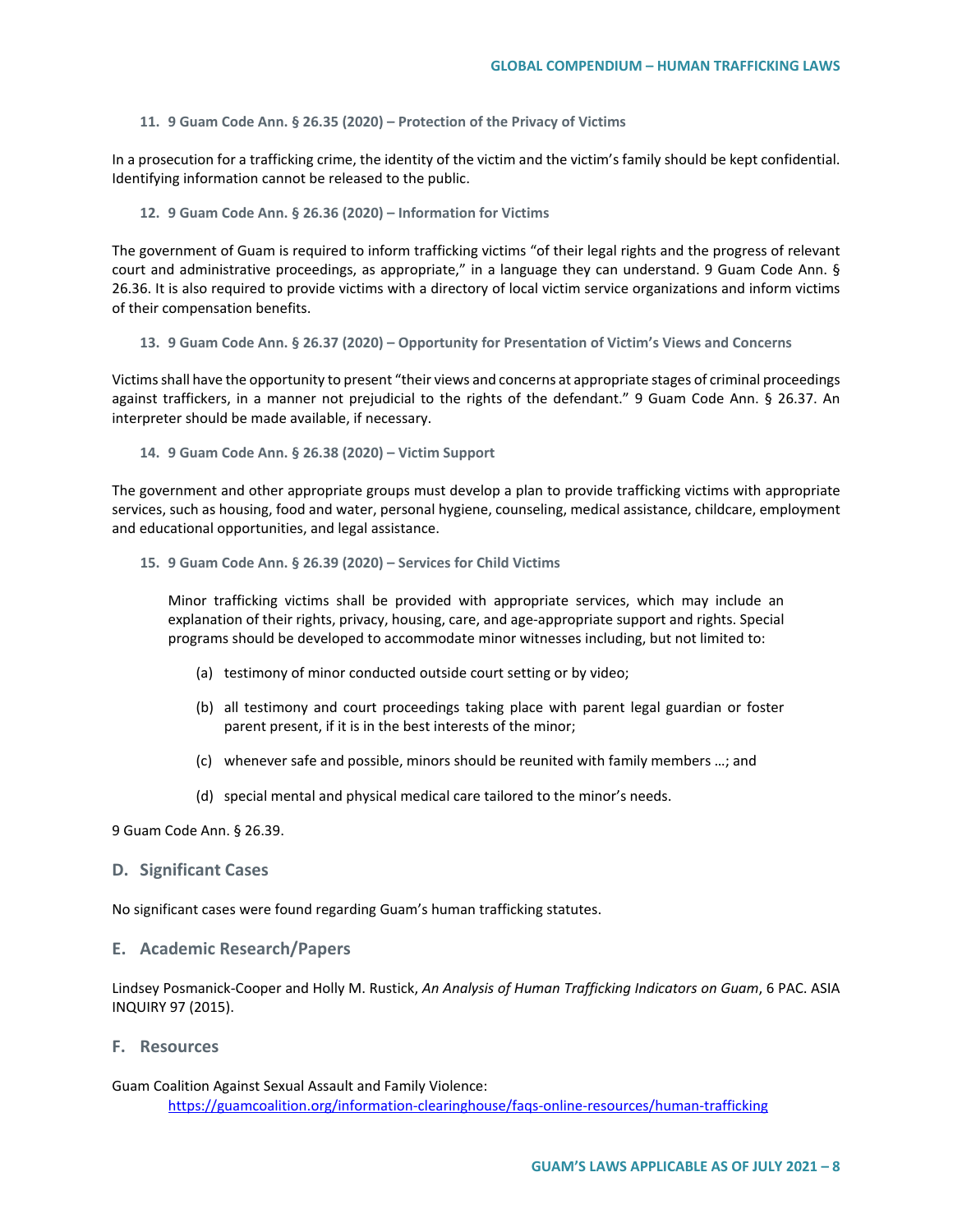### **11. 9 Guam Code Ann. § 26.35 (2020) – Protection of the Privacy of Victims**

In a prosecution for a trafficking crime, the identity of the victim and the victim's family should be kept confidential. Identifying information cannot be released to the public.

#### **12. 9 Guam Code Ann. § 26.36 (2020) – Information for Victims**

The government of Guam is required to inform trafficking victims "of their legal rights and the progress of relevant court and administrative proceedings, as appropriate," in a language they can understand. 9 Guam Code Ann. § 26.36. It is also required to provide victims with a directory of local victim service organizations and inform victims of their compensation benefits.

#### **13. 9 Guam Code Ann. § 26.37 (2020) – Opportunity for Presentation of Victim's Views and Concerns**

Victims shall have the opportunity to present "their views and concerns at appropriate stages of criminal proceedings against traffickers, in a manner not prejudicial to the rights of the defendant." 9 Guam Code Ann. § 26.37. An interpreter should be made available, if necessary.

### **14. 9 Guam Code Ann. § 26.38 (2020) – Victim Support**

The government and other appropriate groups must develop a plan to provide trafficking victims with appropriate services, such as housing, food and water, personal hygiene, counseling, medical assistance, childcare, employment and educational opportunities, and legal assistance.

### **15. 9 Guam Code Ann. § 26.39 (2020) – Services for Child Victims**

Minor trafficking victims shall be provided with appropriate services, which may include an explanation of their rights, privacy, housing, care, and age-appropriate support and rights. Special programs should be developed to accommodate minor witnesses including, but not limited to:

- (a) testimony of minor conducted outside court setting or by video;
- (b) all testimony and court proceedings taking place with parent legal guardian or foster parent present, if it is in the best interests of the minor;
- (c) whenever safe and possible, minors should be reunited with family members …; and
- (d) special mental and physical medical care tailored to the minor's needs.

9 Guam Code Ann. § 26.39.

# **D. Significant Cases**

No significant cases were found regarding Guam's human trafficking statutes.

### **E. Academic Research/Papers**

Lindsey Posmanick-Cooper and Holly M. Rustick, *An Analysis of Human Trafficking Indicators on Guam*, 6 PAC. ASIA INQUIRY 97 (2015).

#### **F. Resources**

## Guam Coalition Against Sexual Assault and Family Violence: <https://guamcoalition.org/information-clearinghouse/faqs-online-resources/human-trafficking>